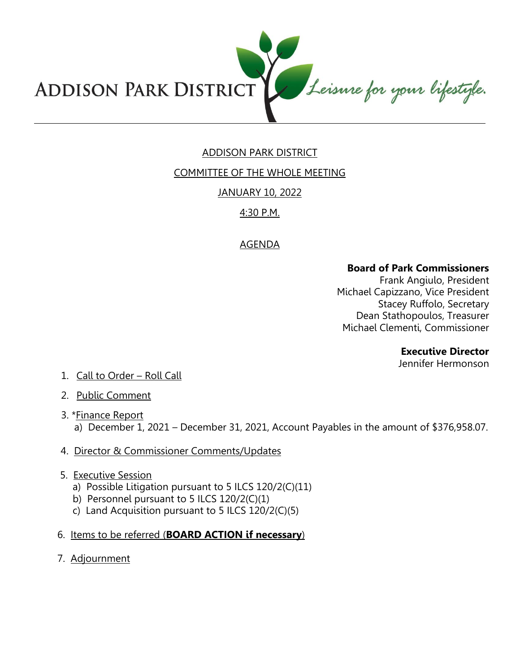

# ADDISON PARK DISTRICT

COMMITTEE OF THE WHOLE MEETING

### JANUARY 10, 2022

# 4:30 P.M.

## AGENDA

### **Board of Park Commissioners**

Frank Angiulo, President Michael Capizzano, Vice President Stacey Ruffolo, Secretary Dean Stathopoulos, Treasurer Michael Clementi, Commissioner

#### **Executive Director**

Jennifer Hermonson

- 1. Call to Order Roll Call
- 2. Public Comment
- 3. \*Finance Report a) December 1, 2021 – December 31, 2021, Account Payables in the amount of \$376,958.07.
- 4. Director & Commissioner Comments/Updates
- 5. Executive Session
	- a) Possible Litigation pursuant to 5 ILCS 120/2(C)(11)
	- b) Personnel pursuant to 5 ILCS 120/2(C)(1)
	- c) Land Acquisition pursuant to 5 ILCS 120/2(C)(5)
- 6. Items to be referred (**BOARD ACTION if necessary**)
- 7. Adjournment